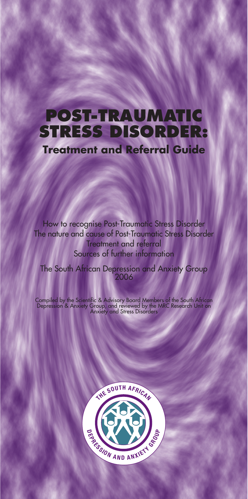# **POST-TRAUMATIC STRESS DISORDER: Treatment and Referral Guide**

How to recognise Post-Traumatic Stress Disorder The nature and cause of Post-Traumatic Stress Disorder Treatment and referral Sources of further information

The South African Depression and Anxiety Group 2006

Compiled by the Scientific & Advisory Board Members of the South African<br>Depression & Anxiety Group, and reviewed by the MRC Research Unit on<br>Anxiety and Stress Disorders

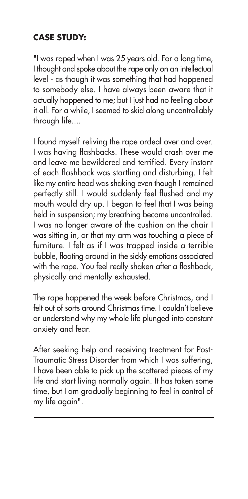## **CASE STUDY:**

"I was raped when I was 25 years old. For a long time, I thought and spoke about the rape only on an intellectual level - as though it was something that had happened to somebody else. I have always been aware that it actually happened to me; but I just had no feeling about it all. For a while, I seemed to skid along uncontrollably through life....

I found myself reliving the rape ordeal over and over. I was having flashbacks. These would crash over me and leave me bewildered and terrified. Every instant of each flashback was startling and disturbing. I felt like my entire head was shaking even though I remained perfectly still. I would suddenly feel flushed and my mouth would dry up. I began to feel that I was being held in suspension; my breathing became uncontrolled. I was no longer aware of the cushion on the chair I was sitting in, or that my arm was touching a piece of furniture. I felt as if I was trapped inside a terrible bubble, floating around in the sickly emotions associated with the rape. You feel really shaken after a flashback, physically and mentally exhausted.

The rape happened the week before Christmas, and I felt out of sorts around Christmas time. I couldn't believe or understand why my whole life plunged into constant anxiety and fear.

After seeking help and receiving treatment for Post-Traumatic Stress Disorder from which I was suffering, I have been able to pick up the scattered pieces of my life and start living normally again. It has taken some time, but I am gradually beginning to feel in control of my life again".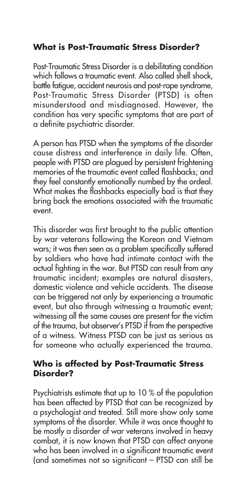## **What is Post-Traumatic Stress Disorder?**

Post-Traumatic Stress Disorder is a debilitating condition which follows a traumatic event. Also called shell shock, battle fatigue, accident neurosis and post-rape syndrome, Post-Traumatic Stress Disorder (PTSD) is often misunderstood and misdiagnosed. However, the condition has very specific symptoms that are part of a definite psychiatric disorder.

A person has PTSD when the symptoms of the disorder cause distress and interference in daily life. Often, people with PTSD are plagued by persistent frightening memories of the traumatic event called flashbacks; and they feel constantly emotionally numbed by the ordeal. What makes the flashbacks especially bad is that they bring back the emotions associated with the traumatic event.

This disorder was first brought to the public attention by war veterans following the Korean and Vietnam wars; it was then seen as a problem specifically suffered by soldiers who have had intimate contact with the actual fighting in the war. But PTSD can result from any traumatic incident; examples are natural disasters, domestic violence and vehicle accidents. The disease can be triggered not only by experiencing a traumatic event, but also through witnessing a traumatic event; witnessing all the same causes are present for the victim of the trauma, but observer's PTSD if from the perspective of a witness. Witness PTSD can be just as serious as for someone who actually experienced the trauma.

#### **Who is affected by Post-Traumatic Stress Disorder?**

Psychiatrists estimate that up to 10 % of the population has been affected by PTSD that can be recognized by a psychologist and treated. Still more show only some symptoms of the disorder. While it was once thought to be mostly a disorder of war veterans involved in heavy combat, it is now known that PTSD can affect anyone who has been involved in a significant traumatic event (and sometimes not so significant – PTSD can still be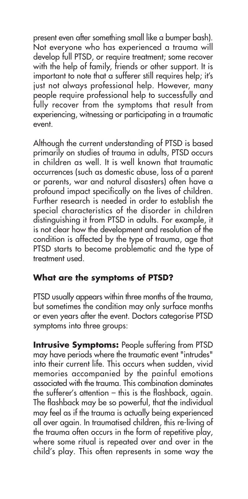present even after something small like a bumper bash). Not everyone who has experienced a trauma will develop full PTSD, or require treatment; some recover with the help of family, friends or other support. It is important to note that a sufferer still requires help; it's just not always professional help. However, many people require professional help to successfully and fully recover from the symptoms that result from experiencing, witnessing or participating in a traumatic event.

Although the current understanding of PTSD is based primarily on studies of trauma in adults, PTSD occurs in children as well. It is well known that traumatic occurrences (such as domestic abuse, loss of a parent or parents, war and natural disasters) often have a profound impact specifically on the lives of children. Further research is needed in order to establish the special characteristics of the disorder in children distinguishing it from PTSD in adults. For example, it is not clear how the development and resolution of the condition is affected by the type of trauma, age that PTSD starts to become problematic and the type of treatment used.

## **What are the symptoms of PTSD?**

PTSD usually appears within three months of the trauma, but sometimes the condition may only surface months or even years after the event. Doctors categorise PTSD symptoms into three groups:

**Intrusive Symptoms: People suffering from PTSD** may have periods where the traumatic event "intrudes" into their current life. This occurs when sudden, vivid memories accompanied by the painful emotions associated with the trauma. This combination dominates the sufferer's attention – this is the flashback, again. The flashback may be so powerful, that the individual may feel as if the trauma is actually being experienced all over again. In traumatised children, this re-living of the trauma often occurs in the form of repetitive play, where some ritual is repeated over and over in the child's play. This often represents in some way the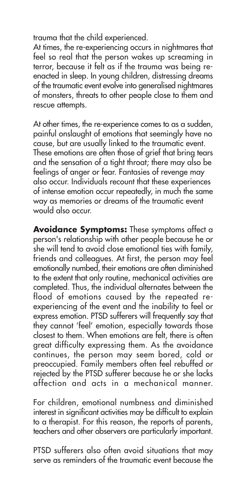trauma that the child experienced.

At times, the re-experiencing occurs in nightmares that feel so real that the person wakes up screaming in terror, because it felt as if the trauma was being reenacted in sleep. In young children, distressing dreams of the traumatic event evolve into generalised nightmares of monsters, threats to other people close to them and rescue attempts.

At other times, the re-experience comes to as a sudden, painful onslaught of emotions that seemingly have no cause, but are usually linked to the traumatic event. These emotions are often those of grief that bring tears and the sensation of a tight throat; there may also be feelings of anger or fear. Fantasies of revenge may also occur. Individuals recount that these experiences of intense emotion occur repeatedly, in much the same way as memories or dreams of the traumatic event would also occur.

**Avoidance Symptoms:** These symptoms affect a person's relationship with other people because he or she will tend to avoid close emotional ties with family, friends and colleagues. At first, the person may feel emotionally numbed, their emotions are often diminished to the extent that only routine, mechanical activities are completed. Thus, the individual alternates between the flood of emotions caused by the repeated reexperiencing of the event and the inability to feel or express emotion. PTSD sufferers will frequently say that they cannot 'feel' emotion, especially towards those closest to them. When emotions are felt, there is often great difficulty expressing them. As the avoidance continues, the person may seem bored, cold or preoccupied. Family members often feel rebuffed or rejected by the PTSD sufferer because he or she lacks affection and acts in a mechanical manner.

For children, emotional numbness and diminished interest in significant activities may be difficult to explain to a therapist. For this reason, the reports of parents, teachers and other observers are particularly important.

PTSD sufferers also often avoid situations that may serve as reminders of the traumatic event because the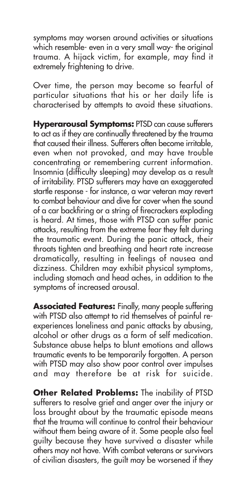symptoms may worsen around activities or situations which resemble- even in a very small way- the original trauma. A hijack victim, for example, may find it extremely frightening to drive.

Over time, the person may become so fearful of particular situations that his or her daily life is characterised by attempts to avoid these situations.

**Hyperarousal Symptoms:** PTSD can cause sufferers to act as if they are continually threatened by the trauma that caused their illness. Sufferers often become irritable, even when not provoked, and may have trouble concentrating or remembering current information. Insomnia (difficulty sleeping) may develop as a result of irritability. PTSD sufferers may have an exaggerated startle response - for instance, a war veteran may revert to combat behaviour and dive for cover when the sound of a car backfiring or a string of firecrackers exploding is heard. At times, those with PTSD can suffer panic attacks, resulting from the extreme fear they felt during the traumatic event. During the panic attack, their throats tighten and breathing and heart rate increase dramatically, resulting in feelings of nausea and dizziness. Children may exhibit physical symptoms, including stomach and head aches, in addition to the symptoms of increased arousal.

**Associated Features:** Finally, many people suffering with PTSD also attempt to rid themselves of painful reexperiences loneliness and panic attacks by abusing, alcohol or other drugs as a form of self medication. Substance abuse helps to blunt emotions and allows traumatic events to be temporarily forgotten. A person with PTSD may also show poor control over impulses and may therefore be at risk for suicide.

**Other Related Problems:** The inability of PTSD sufferers to resolve grief and anger over the injury or loss brought about by the traumatic episode means that the trauma will continue to control their behaviour without them being aware of it. Some people also feel guilty because they have survived a disaster while others may not have. With combat veterans or survivors of civilian disasters, the guilt may be worsened if they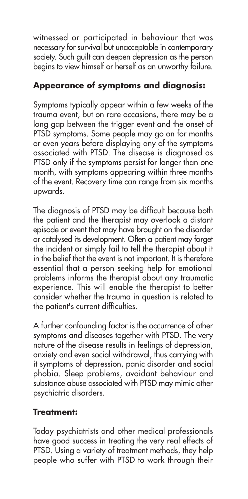witnessed or participated in behaviour that was necessary for survival but unacceptable in contemporary society. Such guilt can deepen depression as the person begins to view himself or herself as an unworthy failure.

## **Appearance of symptoms and diagnosis:**

Symptoms typically appear within a few weeks of the trauma event, but on rare occasions, there may be a long gap between the trigger event and the onset of PTSD symptoms. Some people may go on for months or even years before displaying any of the symptoms associated with PTSD. The disease is diagnosed as PTSD only if the symptoms persist for longer than one month, with symptoms appearing within three months of the event. Recovery time can range from six months upwards.

The diagnosis of PTSD may be difficult because both the patient and the therapist may overlook a distant episode or event that may have brought on the disorder or catalysed its development. Often a patient may forget the incident or simply fail to tell the therapist about it in the belief that the event is not important. It is therefore essential that a person seeking help for emotional problems informs the therapist about any traumatic experience. This will enable the therapist to better consider whether the trauma in question is related to the patient's current difficulties.

A further confounding factor is the occurrence of other symptoms and diseases together with PTSD. The very nature of the disease results in feelings of depression, anxiety and even social withdrawal, thus carrying with it symptoms of depression, panic disorder and social phobia. Sleep problems, avoidant behaviour and substance abuse associated with PTSD may mimic other psychiatric disorders.

## **Treatment:**

Today psychiatrists and other medical professionals have good success in treating the very real effects of PTSD. Using a variety of treatment methods, they help people who suffer with PTSD to work through their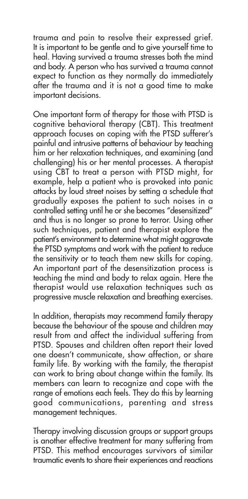trauma and pain to resolve their expressed grief. It is important to be gentle and to give yourself time to heal. Having survived a trauma stresses both the mind and body. A person who has survived a trauma cannot expect to function as they normally do immediately after the trauma and it is not a good time to make important decisions.

One important form of therapy for those with PTSD is cognitive behavioral therapy (CBT). This treatment approach focuses on coping with the PTSD sufferer's painful and intrusive patterns of behaviour by teaching him or her relaxation techniques, and examining (and challenging) his or her mental processes. A therapist using CBT to treat a person with PTSD might, for example, help a patient who is provoked into panic attacks by loud street noises by setting a schedule that gradually exposes the patient to such noises in a controlled setting until he or she becomes "desensitized" and thus is no longer so prone to terror. Using other such techniques, patient and therapist explore the patient's environment to determine what might aggravate the PTSD symptoms and work with the patient to reduce the sensitivity or to teach them new skills for coping. An important part of the desensitization process is teaching the mind and body to relax again. Here the therapist would use relaxation techniques such as progressive muscle relaxation and breathing exercises.

In addition, therapists may recommend family therapy because the behaviour of the spouse and children may result from and affect the individual suffering from PTSD. Spouses and children often report their loved one doesn't communicate, show affection, or share family life. By working with the family, the therapist can work to bring about change within the family. Its members can learn to recognize and cope with the range of emotions each feels. They do this by learning good communications, parenting and stress management techniques.

Therapy involving discussion groups or support groups is another effective treatment for many suffering from PTSD. This method encourages survivors of similar traumatic events to share their experiences and reactions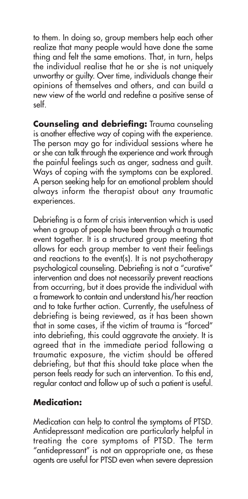to them. In doing so, group members help each other realize that many people would have done the same thing and felt the same emotions. That, in turn, helps the individual realise that he or she is not uniquely unworthy or guilty. Over time, individuals change their opinions of themselves and others, and can build a new view of the world and redefine a positive sense of self.

**Counseling and debriefing:** Trauma counseling is another effective way of coping with the experience. The person may go for individual sessions where he or she can talk through the experience and work through the painful feelings such as anger, sadness and guilt. Ways of coping with the symptoms can be explored. A person seeking help for an emotional problem should always inform the therapist about any traumatic experiences.

Debriefing is a form of crisis intervention which is used when a group of people have been through a traumatic event together. It is a structured group meeting that allows for each group member to vent their feelings and reactions to the event(s). It is not psychotherapy psychological counseling. Debriefing is not a "curative" intervention and does not necessarily prevent reactions from occurring, but it does provide the individual with a framework to contain and understand his/her reaction and to take further action. Currently, the usefulness of debriefing is being reviewed, as it has been shown that in some cases, if the victim of trauma is "forced" into debriefing, this could aggravate the anxiety. It is agreed that in the immediate period following a traumatic exposure, the victim should be offered debriefing, but that this should take place when the person feels ready for such an intervention. To this end, regular contact and follow up of such a patient is useful.

#### **Medication:**

Medication can help to control the symptoms of PTSD. Antidepressant medication are particularly helpful in treating the core symptoms of PTSD. The term "antidepressant" is not an appropriate one, as these agents are useful for PTSD even when severe depression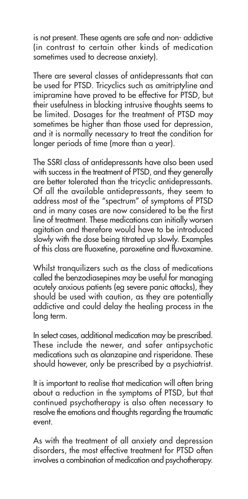is not present. These agents are safe and non- addictive (in contrast to certain other kinds of medication sometimes used to decrease anxiety).

There are several classes of antidepressants that can be used for PTSD. Tricyclics such as amitriptyline and imipramine have proved to be effective for PTSD, but their usefulness in blocking intrusive thoughts seems to be limited. Dosages for the treatment of PTSD may sometimes be higher than those used for depression, and it is normally necessary to treat the condition for longer periods of time (more than a year).

The SSRI class of antidepressants have also been used with success in the treatment of PTSD, and they generally are better tolerated than the tricyclic antidepressants. Of all the available antidepressants, they seem to address most of the "spectrum" of symptoms of PTSD and in many cases are now considered to be the first line of treatment. These medications can initially worsen agitation and therefore would have to be introduced slowly with the dose being titrated up slowly. Examples of this class are fluoxetine, paroxetine and fluvoxamine.

Whilst tranquilizers such as the class of medications called the benzodiasepines may be useful for managing acutely anxious patients (eg severe panic attacks), they should be used with caution, as they are potentially addictive and could delay the healing process in the long term.

In select cases, additional medication may be prescribed. These include the newer, and safer antipsychotic medications such as olanzapine and risperidone. These should however, only be prescribed by a psychiatrist.

It is important to realise that medication will often bring about a reduction in the symptoms of PTSD, but that continued psychotherapy is also often necessary to resolve the emotions and thoughts regarding the traumatic event.

As with the treatment of all anxiety and depression disorders, the most effective treatment for PTSD often involves a combination of medication and psychotherapy.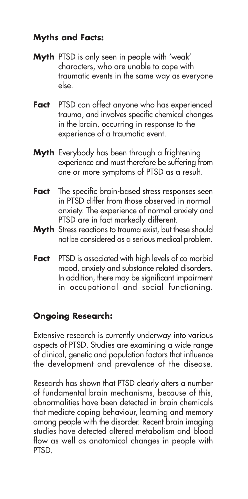## **Myths and Facts:**

- **Myth** PTSD is only seen in people with 'weak' characters, who are unable to cope with traumatic events in the same way as everyone else.
- **Fact** PTSD can affect anyone who has experienced trauma, and involves specific chemical changes in the brain, occurring in response to the experience of a traumatic event.
- **Myth** Everybody has been through a frightening experience and must therefore be suffering from one or more symptoms of PTSD as a result.
- **Fact** The specific brain-based stress responses seen in PTSD differ from those observed in normal anxiety. The experience of normal anxiety and PTSD are in fact markedly different.
- **Myth** Stress reactions to trauma exist, but these should not be considered as a serious medical problem.
- **Fact** PTSD is associated with high levels of co morbid mood, anxiety and substance related disorders. In addition, there may be significant impairment in occupational and social functioning.

### **Ongoing Research:**

Extensive research is currently underway into various aspects of PTSD. Studies are examining a wide range of clinical, genetic and population factors that influence the development and prevalence of the disease.

Research has shown that PTSD clearly alters a number of fundamental brain mechanisms, because of this, abnormalities have been detected in brain chemicals that mediate coping behaviour, learning and memory among people with the disorder. Recent brain imaging studies have detected altered metabolism and blood flow as well as anatomical changes in people with PTSD.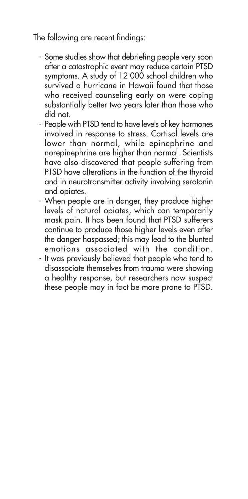The following are recent findings:

- Some studies show that debriefing people very soon after a catastrophic event may reduce certain PTSD symptoms. A study of 12 000 school children who survived a hurricane in Hawaii found that those who received counseling early on were coping substantially better two years later than those who did not.
- People with PTSD tend to have levels of key hormones involved in response to stress. Cortisol levels are lower than normal, while epinephrine and norepinephrine are higher than normal. Scientists have also discovered that people suffering from PTSD have alterations in the function of the thyroid and in neurotransmitter activity involving serotonin and opiates.
- When people are in danger, they produce higher levels of natural opiates, which can temporarily mask pain. It has been found that PTSD sufferers continue to produce those higher levels even after the danger haspassed; this may lead to the blunted emotions associated with the condition.
- It was previously believed that people who tend to disassociate themselves from trauma were showing a healthy response, but researchers now suspect these people may in fact be more prone to PTSD.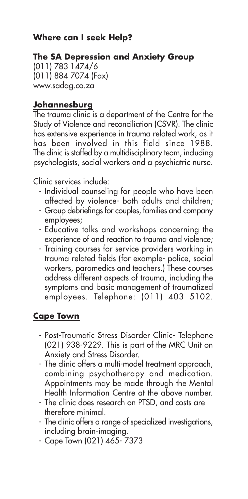### **Where can I seek Help?**

#### **The SA Depression and Anxiety Group**

(011) 783 1474/6 (011) 884 7074 (Fax) www.sadag.co.za

#### **Johannesburg**

The trauma clinic is a department of the Centre for the Study of Violence and reconciliation (CSVR). The clinic has extensive experience in trauma related work, as it has been involved in this field since 1988. The clinic is staffed by a multidisciplinary team, including psychologists, social workers and a psychiatric nurse.

Clinic services include:

- Individual counseling for people who have been affected by violence- both adults and children;
- Group debriefings for couples, families and company employees;
- Educative talks and workshops concerning the experience of and reaction to trauma and violence;
- Training courses for service providers working in trauma related fields (for example- police, social workers, paramedics and teachers.) These courses address different aspects of trauma, including the symptoms and basic management of traumatized employees. Telephone: (011) 403 5102.

#### **Cape Town**

- Post-Traumatic Stress Disorder Clinic- Telephone (021) 938-9229. This is part of the MRC Unit on Anxiety and Stress Disorder.
- The clinic offers a multi-model treatment approach, combining psychotherapy and medication. Appointments may be made through the Mental Health Information Centre at the above number.
- The clinic does research on PTSD, and costs are therefore minimal.
- The clinic offers a range of specialized investigations, including brain-imaging.
- Cape Town (021) 465- 7373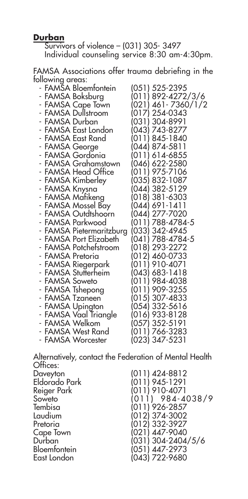#### **Durban**

Survivors of violence – (031) 305- 3497 Individual counseling service 8:30 am-4:30pm.

FAMSA Associations offer trauma debriefing in the following areas:

| - FAMŠA Bloemfontein     | (051) 525-2395      |
|--------------------------|---------------------|
| - FAMSA Boksburg         | (011) 892-4272/3/6  |
| - FAMSA Cape Town        | (021) 461- 7360/1/2 |
| - FAMSA Dullstroom       | (017) 254-0343      |
| - FAMSA Durban           | (031) 304-8991      |
| - FAMSA East London      | (043) 743-8277      |
| - FAMSA East Rand        | (011) 845-1840      |
| - FAMSA George           | (044) 874-5811      |
| - FAMSA Gordonia         | (011) 614-6855      |
| - FAMSA Grahamstown      | (046) 622-2580      |
| - FAMSA Head Office      | (011) 975-7106      |
| - FAMSA Kimberley        | (035) 832-1087      |
| - FAMSA Knysna           | (044) 382-5129      |
| - FAMSA Mafikeng         | (018) 381-6303      |
| - FAMSA Mossel Bay       | (044) 691-1411      |
| - FAMSA Outdtshoorn      | (044) 277-7020      |
| - FAMSA Parkwood         | (011) 788-4784-5    |
| - FAMSA Pietermaritzburg | (033) 342-4945      |
| - FAMSA Port Elizabeth   | (041) 788-4784-5    |
| - FAMSA Potchefstroom    | (018) 293-2272      |
| - FAMSA Pretoria         | (012) 460-0733      |
| - FAMSA Riegerpark       | (011) 910-4071      |
| - FAMSA Stutterheim      | (043) 683-1418      |
| - FAMSA Soweto           | (011) 984-4038      |
| - FAMSA Tshepong         | (011) 909-3255      |
| - FAMSA Tzaneen          | (015) 307-4833      |
| - FAMSA Upington         | (054) 332-5616      |
| - FAMSA Vaal Triangle    | (016) 933-8128      |
| - FAMSA Welkom           | (057) 352-5191      |
| - FAMSA West Rand        | (011) 766-3283      |
| - FAMSA Worcester        | (023) 347-5231      |

Alternatively, contact the Federation of Mental Health Offices:<br>Daveyton Daveyton (011) 424-8812 Eldorado Park (011) 945-1291 Reiger Park (011) 910-4071<br>Soweto (011) 984-4 Soweto (011) 984-4038/9<br>Tembisa (011) 926-2857 Tembisa (011) 926-2857 Laudium (012) 374-3002 Pretoria (012) 332-3927<br>Cape Town (021) 447-9040 Cape Town (021) 447-9040 Durban (031) 304-2404/5/6 Bloemfontein (051) 447-2973  $(043)$  722-9680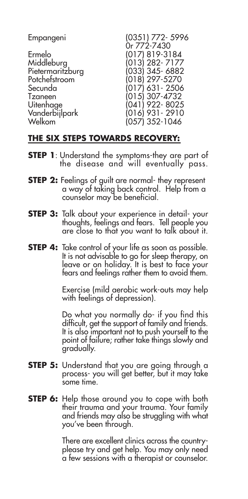| Empangeni        | (0351) 772-5996  |
|------------------|------------------|
|                  | Or 772-7430      |
| Ermelo           | (017) 819-3184   |
| Middleburg       | $(013)$ 282-7177 |
| Pietermaritzburg | (033) 345-6882   |
| Potchefstroom    | $(018)$ 297-5270 |
| Secunda          | (017) 631 - 2506 |
| Tzaneen          | $(015)$ 307-4732 |
| Uitenhage        | $(041)$ 922-8025 |
| Vanderbijlpark   | (016) 931 - 2910 |
| Welkom           | (057) 352-1046   |

### **THE SIX STEPS TOWARDS RECOVERY:**

- **STEP 1**: Understand the symptoms-they are part of the disease and will eventually pass.
- **STEP 2:** Feelings of guilt are normal- they represent a way of taking back control. Help from a counselor may be beneficial.
- **STEP 3:** Talk about your experience in detail-your thoughts, feelings and fears. Tell people you are close to that you want to talk about it.
- **STEP 4:** Take control of your life as soon as possible. It is not advisable to go for sleep therapy, on leave or on holiday. It is best to face your fears and feelings rather them to avoid them.

Exercise (mild aerobic work-outs may help with feelings of depression).

Do what you normally do- if you find this difficult, get the support of family and friends. It is also important not to push yourself to the point of failure; rather take things slowly and gradually.

- **STEP 5:** Understand that you are going through a process- you will get better, but it may take some time.
- **STEP 6:** Help those around you to cope with both their trauma and your trauma. Your family and friends may also be struggling with what you've been through.

There are excellent clinics across the countryplease try and get help. You may only need a few sessions with a therapist or counselor.